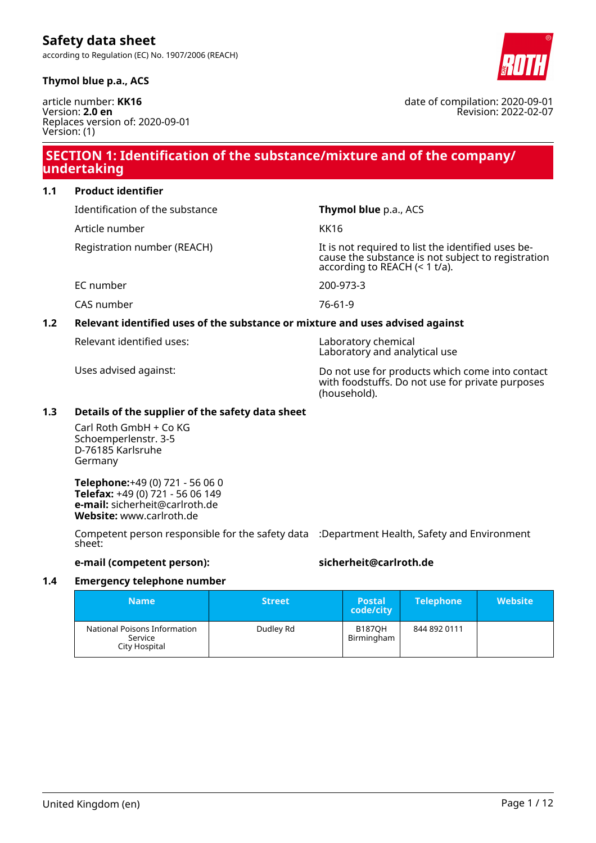### **Thymol blue p.a., ACS**

article number: **KK16** Version: **2.0 en** Replaces version of: 2020-09-01 Version: (1)

# **SECTION 1: Identification of the substance/mixture and of the company/ undertaking**

**1.1 Product identifier**

Identification of the substance **Thymol blue** p.a., ACS

Article number KK16

Laboratory and analytical use

Registration number (REACH) It is not required to list the identified uses because the substance is not subject to registration according to REACH (< 1 t/a).

EC number 200-973-3

CAS number 76-61-9

### **1.2 Relevant identified uses of the substance or mixture and uses advised against**

Relevant identified uses: Laboratory chemical

Uses advised against: Do not use for products which come into contact with foodstuffs. Do not use for private purposes (household).

### **1.3 Details of the supplier of the safety data sheet**

Carl Roth GmbH + Co KG Schoemperlenstr. 3-5 D-76185 Karlsruhe Germany

**Telephone:**+49 (0) 721 - 56 06 0 **Telefax:** +49 (0) 721 - 56 06 149 **e-mail:** sicherheit@carlroth.de **Website:** www.carlroth.de

Competent person responsible for the safety data :Department Health, Safety and Environment sheet:

### **e-mail (competent person): sicherheit@carlroth.de**

### **1.4 Emergency telephone number**

| <b>Name</b>                                              | <b>Street</b> | <b>Postal</b><br>code/city  | <b>Telephone</b> | <b>Website</b> |
|----------------------------------------------------------|---------------|-----------------------------|------------------|----------------|
| National Poisons Information<br>Service<br>City Hospital | Dudley Rd     | <b>B1870H</b><br>Birmingham | 844 892 0111     |                |



Revision: 2022-02-07

date of compilation: 2020-09-01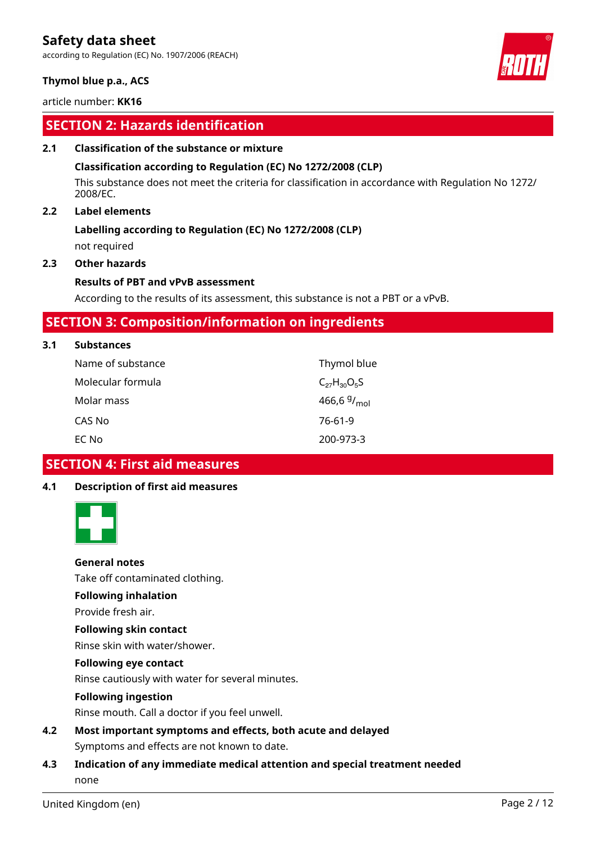according to Regulation (EC) No. 1907/2006 (REACH)

### **Thymol blue p.a., ACS**

article number: **KK16**

# **SECTION 2: Hazards identification**

### **2.1 Classification of the substance or mixture**

### **Classification according to Regulation (EC) No 1272/2008 (CLP)**

This substance does not meet the criteria for classification in accordance with Regulation No 1272/ 2008/EC.

### **2.2 Label elements**

### **Labelling according to Regulation (EC) No 1272/2008 (CLP)**

not required

### **2.3 Other hazards**

### **Results of PBT and vPvB assessment**

According to the results of its assessment, this substance is not a PBT or a vPvB.

### **SECTION 3: Composition/information on ingredients**

### **3.1 Substances**

| Name of substance | Thymol blue             |
|-------------------|-------------------------|
| Molecular formula | $C_{27}H_{30}O_5S$      |
| Molar mass        | 466,6 $9/_{\text{mol}}$ |
| CAS No            | 76-61-9                 |
| EC No             | 200-973-3               |

### **SECTION 4: First aid measures**

### **4.1 Description of first aid measures**



### **General notes**

Take off contaminated clothing.

### **Following inhalation**

Provide fresh air.

### **Following skin contact**

Rinse skin with water/shower.

### **Following eye contact**

Rinse cautiously with water for several minutes.

### **Following ingestion**

Rinse mouth. Call a doctor if you feel unwell.

**4.2 Most important symptoms and effects, both acute and delayed** Symptoms and effects are not known to date.

### **4.3 Indication of any immediate medical attention and special treatment needed** none

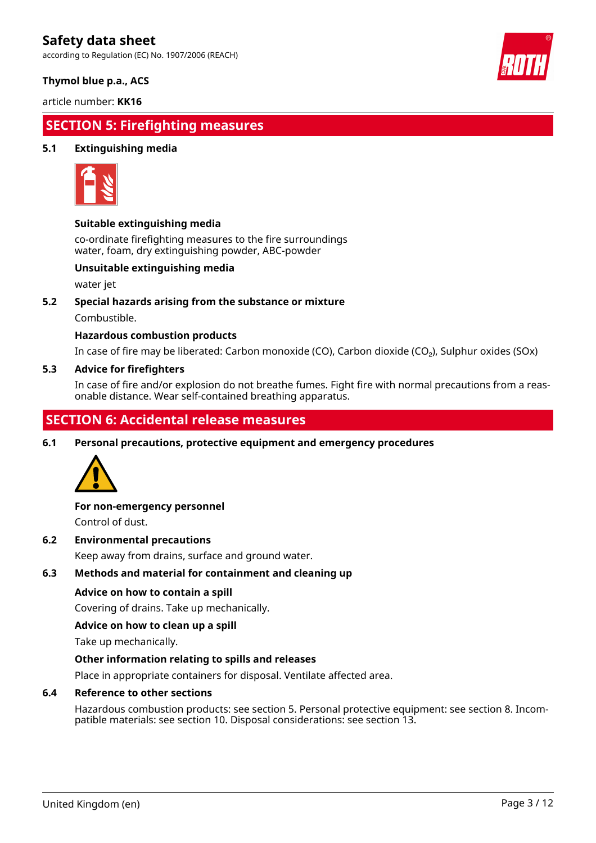according to Regulation (EC) No. 1907/2006 (REACH)



### **Thymol blue p.a., ACS**

article number: **KK16**

# **SECTION 5: Firefighting measures**

### **5.1 Extinguishing media**



### **Suitable extinguishing media**

co-ordinate firefighting measures to the fire surroundings water, foam, dry extinguishing powder, ABC-powder

### **Unsuitable extinguishing media**

water jet

### **5.2 Special hazards arising from the substance or mixture**

Combustible.

### **Hazardous combustion products**

In case of fire may be liberated: Carbon monoxide (CO), Carbon dioxide (CO₂), Sulphur oxides (SOx)

### **5.3 Advice for firefighters**

In case of fire and/or explosion do not breathe fumes. Fight fire with normal precautions from a reasonable distance. Wear self-contained breathing apparatus.

# **SECTION 6: Accidental release measures**

**6.1 Personal precautions, protective equipment and emergency procedures**



### **For non-emergency personnel**

Control of dust.

### **6.2 Environmental precautions**

Keep away from drains, surface and ground water.

### **6.3 Methods and material for containment and cleaning up**

### **Advice on how to contain a spill**

Covering of drains. Take up mechanically.

### **Advice on how to clean up a spill**

Take up mechanically.

### **Other information relating to spills and releases**

Place in appropriate containers for disposal. Ventilate affected area.

### **6.4 Reference to other sections**

Hazardous combustion products: see section 5. Personal protective equipment: see section 8. Incompatible materials: see section 10. Disposal considerations: see section 13.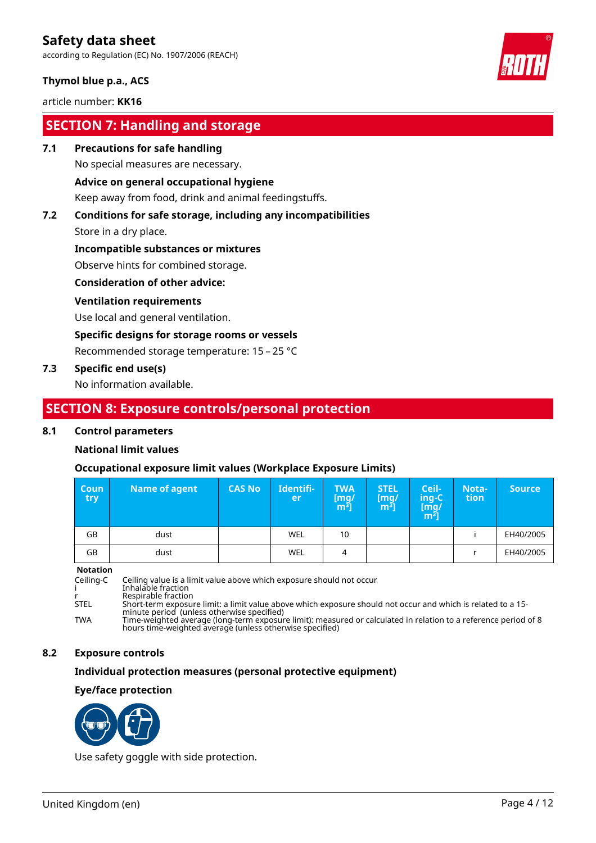according to Regulation (EC) No. 1907/2006 (REACH)

### **Thymol blue p.a., ACS**

### article number: **KK16**

# **SECTION 7: Handling and storage**

**7.1 Precautions for safe handling**

No special measures are necessary.

### **Advice on general occupational hygiene**

Keep away from food, drink and animal feedingstuffs.

# **7.2 Conditions for safe storage, including any incompatibilities**

Store in a dry place.

### **Incompatible substances or mixtures**

Observe hints for combined storage.

### **Consideration of other advice:**

### **Ventilation requirements**

Use local and general ventilation.

### **Specific designs for storage rooms or vessels**

Recommended storage temperature: 15 – 25 °C

### **7.3 Specific end use(s)**

No information available.

### **SECTION 8: Exposure controls/personal protection**

### **8.1 Control parameters**

### **National limit values**

### **Occupational exposure limit values (Workplace Exposure Limits)**

| <b>Coun</b><br>try – | Name of agent | <b>CAS No</b> | Identifi-<br>er | <b>TWA</b><br>[mg/<br>[m <sup>3</sup> ] | <b>STEL</b><br>[mg]<br>$\mathsf{m}^3$ | Ceil-<br>ing-C<br>[mg/<br>$\mathsf{m}^{\mathsf{3}}$ | Nota-<br>tion | <b>Source</b> |
|----------------------|---------------|---------------|-----------------|-----------------------------------------|---------------------------------------|-----------------------------------------------------|---------------|---------------|
| GB                   | dust          |               | WEL             | 10                                      |                                       |                                                     |               | EH40/2005     |
| GB                   | dust          |               | WEL             | 4                                       |                                       |                                                     |               | EH40/2005     |

#### **Notation**

Ceiling-C Ceiling value is a limit value above which exposure should not occur i Inhalable fraction r Respirable fraction STEL Short-term exposure limit: a limit value above which exposure should not occur and which is related to a 15 minute period (unless otherwise specified) TWA Time-weighted average (long-term exposure limit): measured or calculated in relation to a reference period of 8 hours time-weighted average (unless otherwise specified)

### **8.2 Exposure controls**

### **Individual protection measures (personal protective equipment)**

### **Eye/face protection**



Use safety goggle with side protection.

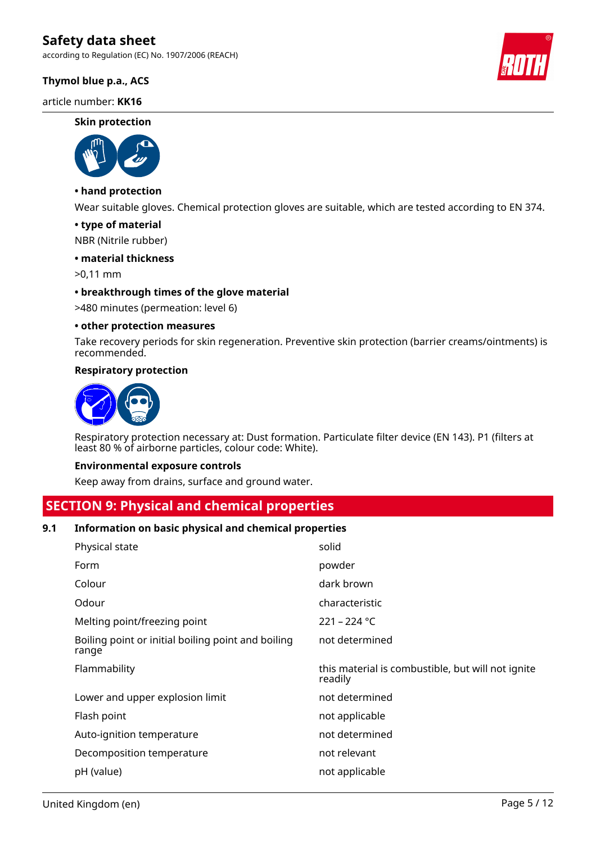according to Regulation (EC) No. 1907/2006 (REACH)

### **Thymol blue p.a., ACS**

article number: **KK16**

#### **Skin protection**



### **• hand protection**

Wear suitable gloves. Chemical protection gloves are suitable, which are tested according to EN 374.

### **• type of material**

NBR (Nitrile rubber)

### **• material thickness**

>0,11 mm

### **• breakthrough times of the glove material**

>480 minutes (permeation: level 6)

### **• other protection measures**

Take recovery periods for skin regeneration. Preventive skin protection (barrier creams/ointments) is recommended.

### **Respiratory protection**



Respiratory protection necessary at: Dust formation. Particulate filter device (EN 143). P1 (filters at least 80 % of airborne particles, colour code: White).

### **Environmental exposure controls**

Keep away from drains, surface and ground water.

### **SECTION 9: Physical and chemical properties**

### **9.1 Information on basic physical and chemical properties**

| Physical state                                              | solid                                                        |
|-------------------------------------------------------------|--------------------------------------------------------------|
| Form                                                        | powder                                                       |
| Colour                                                      | dark brown                                                   |
| Odour                                                       | characteristic                                               |
| Melting point/freezing point                                | $221 - 224$ °C                                               |
| Boiling point or initial boiling point and boiling<br>range | not determined                                               |
| Flammability                                                | this material is combustible, but will not ignite<br>readily |
| Lower and upper explosion limit                             | not determined                                               |
| Flash point                                                 | not applicable                                               |
| Auto-ignition temperature                                   | not determined                                               |
| Decomposition temperature                                   | not relevant                                                 |
| pH (value)                                                  | not applicable                                               |

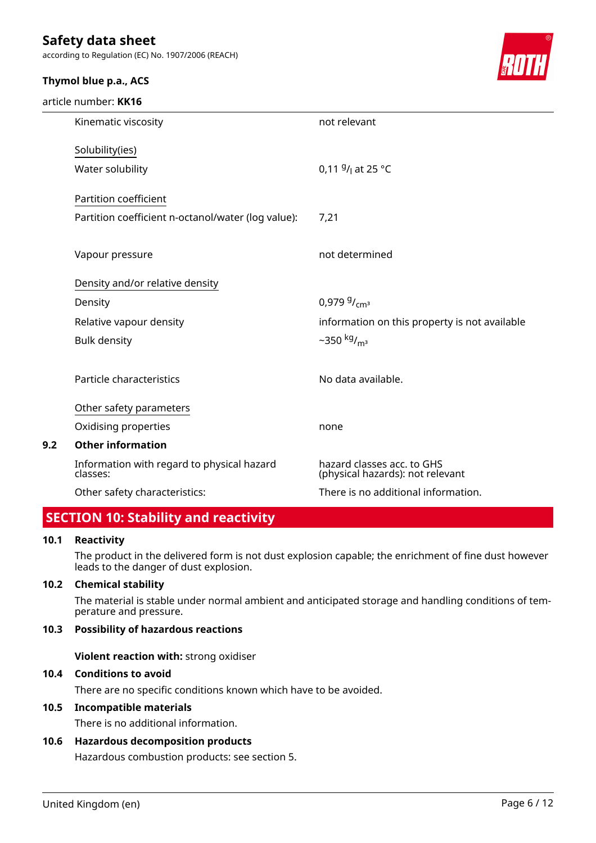according to Regulation (EC) No. 1907/2006 (REACH)

### **Thymol blue p.a., ACS**

article number: **KK16**



|     | Kinematic viscosity                                    | not relevant                                                   |
|-----|--------------------------------------------------------|----------------------------------------------------------------|
|     | Solubility(ies)                                        |                                                                |
|     | Water solubility                                       | 0,11 $9/$ at 25 °C                                             |
|     | Partition coefficient                                  |                                                                |
|     | Partition coefficient n-octanol/water (log value):     | 7,21                                                           |
|     |                                                        |                                                                |
|     | Vapour pressure                                        | not determined                                                 |
|     | Density and/or relative density                        |                                                                |
|     | Density                                                | $0.9799/$ <sub>cm<sup>3</sup></sub>                            |
|     | Relative vapour density                                | information on this property is not available                  |
|     | <b>Bulk density</b>                                    | ~350 $kg/m3$                                                   |
|     |                                                        |                                                                |
|     | Particle characteristics                               | No data available.                                             |
|     | Other safety parameters                                |                                                                |
|     | Oxidising properties                                   | none                                                           |
| 9.2 | <b>Other information</b>                               |                                                                |
|     | Information with regard to physical hazard<br>classes: | hazard classes acc. to GHS<br>(physical hazards): not relevant |
|     | Other safety characteristics:                          | There is no additional information.                            |
|     |                                                        |                                                                |

# **SECTION 10: Stability and reactivity**

### **10.1 Reactivity**

The product in the delivered form is not dust explosion capable; the enrichment of fine dust however leads to the danger of dust explosion.

### **10.2 Chemical stability**

The material is stable under normal ambient and anticipated storage and handling conditions of temperature and pressure.

### **10.3 Possibility of hazardous reactions**

**Violent reaction with:** strong oxidiser

### **10.4 Conditions to avoid**

There are no specific conditions known which have to be avoided.

### **10.5 Incompatible materials**

There is no additional information.

### **10.6 Hazardous decomposition products**

Hazardous combustion products: see section 5.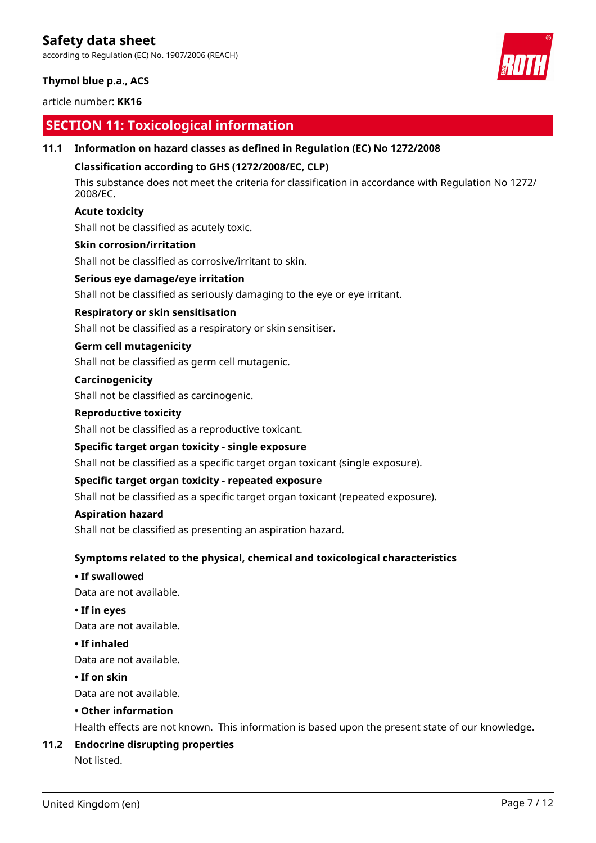according to Regulation (EC) No. 1907/2006 (REACH)

### **Thymol blue p.a., ACS**

### article number: **KK16**

# **SECTION 11: Toxicological information**

### **11.1 Information on hazard classes as defined in Regulation (EC) No 1272/2008**

### **Classification according to GHS (1272/2008/EC, CLP)**

This substance does not meet the criteria for classification in accordance with Regulation No 1272/ 2008/EC.

### **Acute toxicity**

Shall not be classified as acutely toxic.

### **Skin corrosion/irritation**

Shall not be classified as corrosive/irritant to skin.

### **Serious eye damage/eye irritation**

Shall not be classified as seriously damaging to the eye or eye irritant.

### **Respiratory or skin sensitisation**

Shall not be classified as a respiratory or skin sensitiser.

### **Germ cell mutagenicity**

Shall not be classified as germ cell mutagenic.

### **Carcinogenicity**

Shall not be classified as carcinogenic.

### **Reproductive toxicity**

Shall not be classified as a reproductive toxicant.

### **Specific target organ toxicity - single exposure**

Shall not be classified as a specific target organ toxicant (single exposure).

### **Specific target organ toxicity - repeated exposure**

Shall not be classified as a specific target organ toxicant (repeated exposure).

### **Aspiration hazard**

Shall not be classified as presenting an aspiration hazard.

### **Symptoms related to the physical, chemical and toxicological characteristics**

### **• If swallowed**

Data are not available.

### **• If in eyes**

Data are not available.

### **• If inhaled**

Data are not available.

### **• If on skin**

Data are not available.

### **• Other information**

Health effects are not known. This information is based upon the present state of our knowledge.

### **11.2 Endocrine disrupting properties**

Not listed.

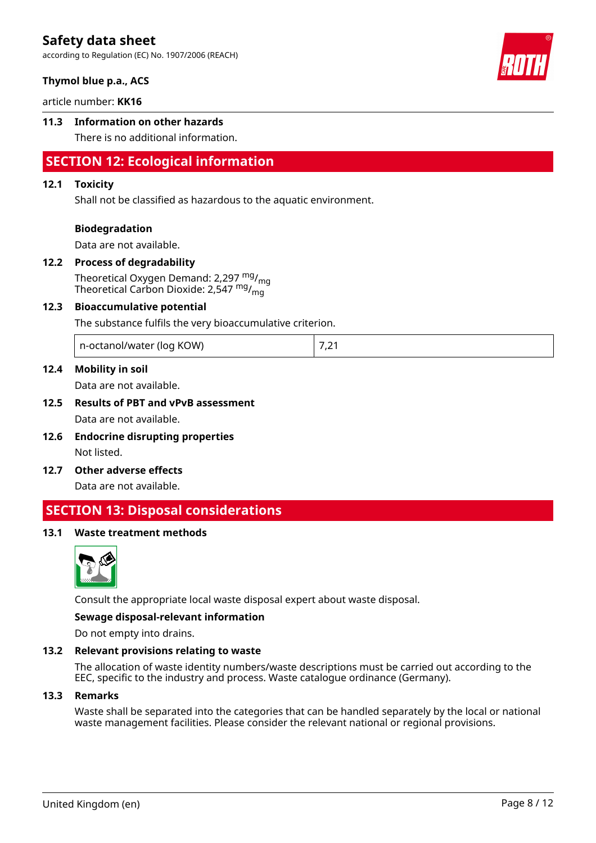according to Regulation (EC) No. 1907/2006 (REACH)

### **Thymol blue p.a., ACS**

article number: **KK16**

### **11.3 Information on other hazards**

There is no additional information.

# **SECTION 12: Ecological information**

### **12.1 Toxicity**

Shall not be classified as hazardous to the aquatic environment.

### **Biodegradation**

Data are not available.

### **12.2 Process of degradability**

Theoretical Oxygen Demand: 2,297 mg/<sub>mg</sub> Theoretical Carbon Dioxide: 2,547  $mg/mq$ 

### **12.3 Bioaccumulative potential**

The substance fulfils the very bioaccumulative criterion.

| n-octanol/water (log KOW) | . . |
|---------------------------|-----|
|---------------------------|-----|

### **12.4 Mobility in soil**

Data are not available.

# **12.5 Results of PBT and vPvB assessment**

Data are not available.

- **12.6 Endocrine disrupting properties** Not listed.
- **12.7 Other adverse effects**

Data are not available.

### **SECTION 13: Disposal considerations**

### **13.1 Waste treatment methods**



Consult the appropriate local waste disposal expert about waste disposal.

#### **Sewage disposal-relevant information**

Do not empty into drains.

### **13.2 Relevant provisions relating to waste**

The allocation of waste identity numbers/waste descriptions must be carried out according to the EEC, specific to the industry and process. Waste catalogue ordinance (Germany).

### **13.3 Remarks**

Waste shall be separated into the categories that can be handled separately by the local or national waste management facilities. Please consider the relevant national or regional provisions.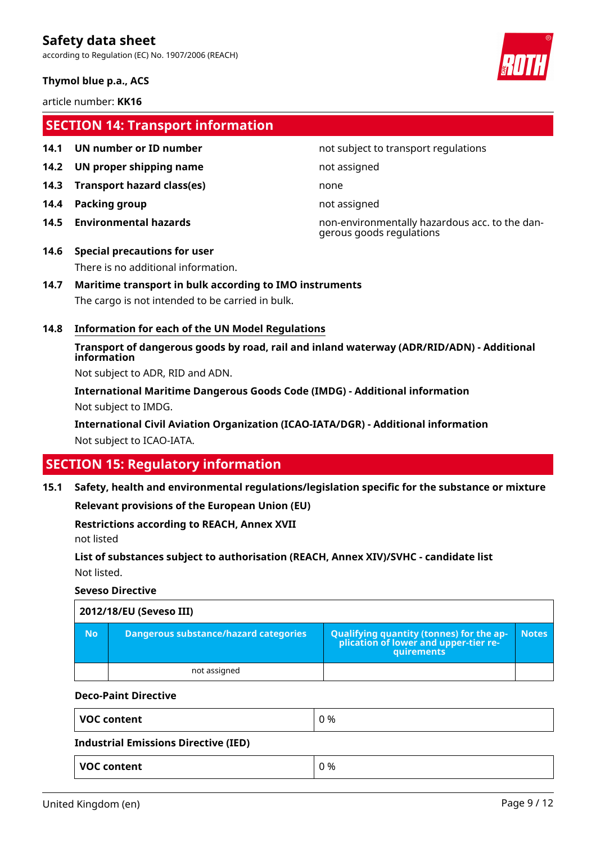according to Regulation (EC) No. 1907/2006 (REACH)

### **Thymol blue p.a., ACS**

article number: **KK16**

# **SECTION 14: Transport information**

- 
- **14.2 UN proper shipping name** not assigned
- **14.3 Transport hazard class(es)** none
- **14.4 Packing group not assigned**
- 

### **14.1 UN number or ID number not subject to transport regulations**

**14.5 Environmental hazards** non-environmentally hazardous acc. to the dangerous goods regulations

# **14.6 Special precautions for user** There is no additional information.

### **14.7 Maritime transport in bulk according to IMO instruments**

The cargo is not intended to be carried in bulk.

### **14.8 Information for each of the UN Model Regulations**

**Transport of dangerous goods by road, rail and inland waterway (ADR/RID/ADN) - Additional information**

Not subject to ADR, RID and ADN.

**International Maritime Dangerous Goods Code (IMDG) - Additional information** Not subject to IMDG.

**International Civil Aviation Organization (ICAO-IATA/DGR) - Additional information** Not subject to ICAO-IATA.

# **SECTION 15: Regulatory information**

**15.1 Safety, health and environmental regulations/legislation specific for the substance or mixture**

**Relevant provisions of the European Union (EU)**

**Restrictions according to REACH, Annex XVII**

not listed

**List of substances subject to authorisation (REACH, Annex XIV)/SVHC - candidate list** Not listed.

### **Seveso Directive**

| 2012/18/EU (Seveso III) |           |                                              |                                                                                                        |              |
|-------------------------|-----------|----------------------------------------------|--------------------------------------------------------------------------------------------------------|--------------|
|                         | <b>No</b> | <b>Dangerous substance/hazard categories</b> | <b>Qualifying quantity (tonnes) for the ap-</b><br>plication of lower and upper-tier re-<br>quirements | <b>Notes</b> |
|                         |           | not assigned                                 |                                                                                                        |              |

#### **Deco-Paint Directive**

| <b>VOC content</b>                          | 0 % |
|---------------------------------------------|-----|
| <b>Industrial Emissions Directive (IED)</b> |     |
| <b>VOC content</b>                          | 0 % |

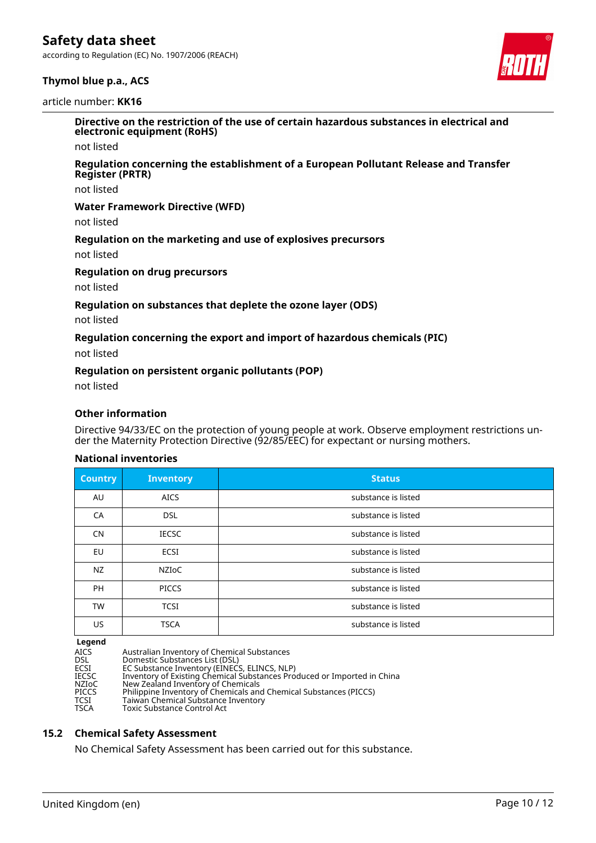according to Regulation (EC) No. 1907/2006 (REACH)





**Directive on the restriction of the use of certain hazardous substances in electrical and electronic equipment (RoHS)**

not listed

#### **Regulation concerning the establishment of a European Pollutant Release and Transfer Register (PRTR)**

not listed

### **Water Framework Directive (WFD)**

not listed

### **Regulation on the marketing and use of explosives precursors**

not listed

### **Regulation on drug precursors**

not listed

### **Regulation on substances that deplete the ozone layer (ODS)**

not listed

### **Regulation concerning the export and import of hazardous chemicals (PIC)**

not listed

### **Regulation on persistent organic pollutants (POP)**

not listed

### **Other information**

Directive 94/33/EC on the protection of young people at work. Observe employment restrictions under the Maternity Protection Directive (92/85/EEC) for expectant or nursing mothers.

### **National inventories**

| <b>Country</b> | <b>Inventory</b> | <b>Status</b>       |
|----------------|------------------|---------------------|
| AU             | <b>AICS</b>      | substance is listed |
| CA             | <b>DSL</b>       | substance is listed |
| <b>CN</b>      | <b>IECSC</b>     | substance is listed |
| EU             | <b>ECSI</b>      | substance is listed |
| NZ             | <b>NZIOC</b>     | substance is listed |
| <b>PH</b>      | <b>PICCS</b>     | substance is listed |
| <b>TW</b>      | <b>TCSI</b>      | substance is listed |
| US             | <b>TSCA</b>      | substance is listed |

#### **Legend**

| ______       |                                                                         |
|--------------|-------------------------------------------------------------------------|
| <b>AICS</b>  | Australian Inventory of Chemical Substances                             |
| <b>DSL</b>   | Domestic Substances List (DSL)                                          |
| ECSI         | EC Substance Inventory (EINECS, ELINCS, NLP)                            |
| <b>IECSC</b> | Inventory of Existing Chemical Substances Produced or Imported in China |
| NZIoC        | New Zealand Inventory of Chemicals                                      |
| <b>PICCS</b> | Philippine Inventory of Chemicals and Chemical Substances (PICCS)       |
| TCSI         | Taiwan Chemical Substance Inventory                                     |
| <b>TSCA</b>  | Toxic Substance Control Act                                             |
|              |                                                                         |

#### **15.2 Chemical Safety Assessment**

No Chemical Safety Assessment has been carried out for this substance.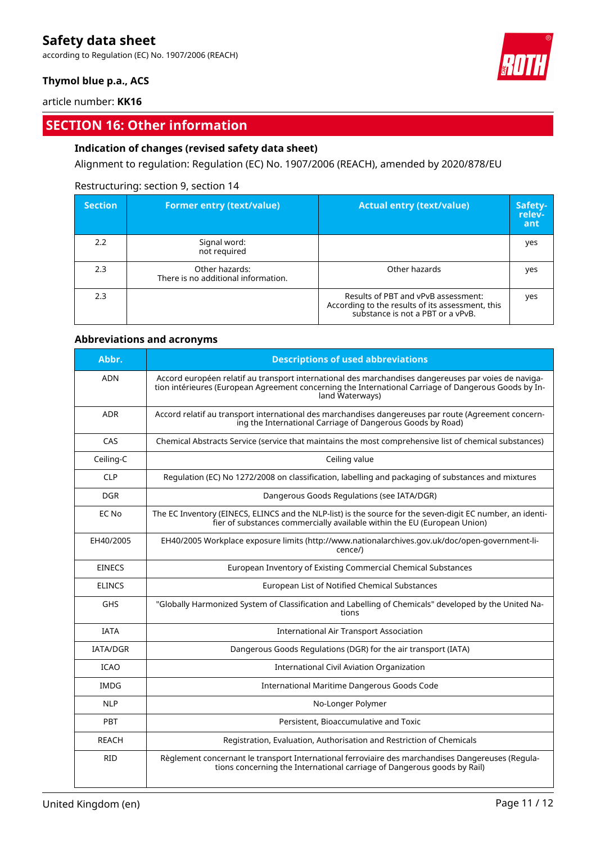according to Regulation (EC) No. 1907/2006 (REACH)

### **Thymol blue p.a., ACS**

article number: **KK16**

# **SECTION 16: Other information**

### **Indication of changes (revised safety data sheet)**

Alignment to regulation: Regulation (EC) No. 1907/2006 (REACH), amended by 2020/878/EU

### Restructuring: section 9, section 14

| <b>Section</b> | <b>Former entry (text/value)</b>                      | <b>Actual entry (text/value)</b>                                                                                             | Safety-<br>relev-<br>ant |
|----------------|-------------------------------------------------------|------------------------------------------------------------------------------------------------------------------------------|--------------------------|
| 2.2            | Signal word:<br>not required                          |                                                                                                                              | yes                      |
| 2.3            | Other hazards:<br>There is no additional information. | Other hazards                                                                                                                | yes                      |
| 2.3            |                                                       | Results of PBT and vPvB assessment:<br>According to the results of its assessment, this<br>substance is not a PBT or a vPvB. | yes                      |

### **Abbreviations and acronyms**

| Abbr.           | <b>Descriptions of used abbreviations</b>                                                                                                                                                                                       |
|-----------------|---------------------------------------------------------------------------------------------------------------------------------------------------------------------------------------------------------------------------------|
| <b>ADN</b>      | Accord européen relatif au transport international des marchandises dangereuses par voies de naviga-<br>tion intérieures (European Agreement concerning the International Carriage of Dangerous Goods by In-<br>land Waterways) |
| <b>ADR</b>      | Accord relatif au transport international des marchandises dangereuses par route (Agreement concern-<br>ing the International Carriage of Dangerous Goods by Road)                                                              |
| CAS             | Chemical Abstracts Service (service that maintains the most comprehensive list of chemical substances)                                                                                                                          |
| Ceiling-C       | Ceiling value                                                                                                                                                                                                                   |
| <b>CLP</b>      | Regulation (EC) No 1272/2008 on classification, labelling and packaging of substances and mixtures                                                                                                                              |
| <b>DGR</b>      | Dangerous Goods Regulations (see IATA/DGR)                                                                                                                                                                                      |
| EC No           | The EC Inventory (EINECS, ELINCS and the NLP-list) is the source for the seven-digit EC number, an identi-<br>fier of substances commercially available within the EU (European Union)                                          |
| EH40/2005       | EH40/2005 Workplace exposure limits (http://www.nationalarchives.gov.uk/doc/open-government-li-<br>cence/)                                                                                                                      |
| <b>EINECS</b>   | European Inventory of Existing Commercial Chemical Substances                                                                                                                                                                   |
| <b>ELINCS</b>   | European List of Notified Chemical Substances                                                                                                                                                                                   |
| <b>GHS</b>      | "Globally Harmonized System of Classification and Labelling of Chemicals" developed by the United Na-<br>tions                                                                                                                  |
| <b>IATA</b>     | <b>International Air Transport Association</b>                                                                                                                                                                                  |
| <b>IATA/DGR</b> | Dangerous Goods Regulations (DGR) for the air transport (IATA)                                                                                                                                                                  |
| <b>ICAO</b>     | <b>International Civil Aviation Organization</b>                                                                                                                                                                                |
| <b>IMDG</b>     | International Maritime Dangerous Goods Code                                                                                                                                                                                     |
| <b>NLP</b>      | No-Longer Polymer                                                                                                                                                                                                               |
| PBT             | Persistent, Bioaccumulative and Toxic                                                                                                                                                                                           |
| <b>REACH</b>    | Registration, Evaluation, Authorisation and Restriction of Chemicals                                                                                                                                                            |
| <b>RID</b>      | Règlement concernant le transport International ferroviaire des marchandises Dangereuses (Regula-<br>tions concerning the International carriage of Dangerous goods by Rail)                                                    |